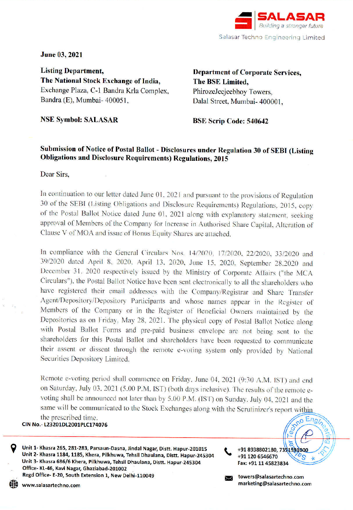

June 03, 2021

**Listing Department.** The National Stock Exchange of India, Exchange Plaza, C-1 Bandra Krla Complex. Bandra (E), Mumbai- 400051.

**Department of Corporate Services.** The BSE Limited, PhirozeJeejeebhov Towers. Dalal Street, Mumbai- 400001.

**NSE Symbol: SALASAR** 

**BSE Scrip Code: 540642** 

# Submission of Notice of Postal Ballot - Disclosures under Regulation 30 of SEBI (Listing **Obligations and Disclosure Requirements) Regulations, 2015**

Dear Sirs,

In continuation to our letter dated June 01, 2021 and pursuant to the provisions of Regulation 30 of the SEBI (Listing Obligations and Disclosure Requirements) Regulations, 2015, copy of the Postal Ballot Notice dated June 01, 2021 along with explanatory statement, seeking approval of Members of the Company for Increase in Authorised Share Capital, Alteration of Clause V of MOA and issue of Bonus Equity Shares are attached.

In compliance with the General Circulars Nos. 14/2020, 17/2020, 22/2020, 33/2020 and 39/2020 dated April 8, 2020, April 13, 2020, June 15, 2020, September 28,2020 and December 31, 2020 respectively issued by the Ministry of Corporate Affairs ("the MCA Circulars"), the Postal Ballot Notice have been sent electronically to all the shareholders who have registered their email addresses with the Company/Registrar and Share Transfer Agent/Depository/Depository Participants and whose names appear in the Register of Members of the Company or in the Register of Beneficial Owners maintained by the Depositories as on Friday, May 28, 2021. The physical copy of Postal Ballot Notice along with Postal Ballot Forms and pre-paid business envelope are not being sent to the shareholders for this Postal Ballot and shareholders have been requested to communicate their assent or dissent through the remote e-voting system only provided by National Securities Depository Limited.

Remote e-voting period shall commence on Friday, June 04, 2021 (9:30 A.M. IST) and end on Saturday, July 03, 2021 (5.00 P.M. IST) (both days inclusive). The results of the remote evoting shall be announced not later than by 5.00 P.M. (IST) on Sunday, July 04, 2021 and the same will be communicated to the Stock Exchanges along with the Scrutinizer's report within mno Engin the prescribed time.

CIN No.- L23201DL2001PLC174076

Unit 1- Khasra 265, 281-283, Parsaun-Dasna, Jindal Nagar, Distt. Hapur-201015 Unit 2- Khasra 1184, 1185, Khera, Pilkhuwa, Tehsil Dhaulana, Distt. Hapur-245304 Unit 3- Khasra 686/6 Khera, Pilkhuwa, Tehsil Dhaulana, Distt. Hapur-245304 Office-KL-46, Kavi Nagar, Ghaziabad-201002 Regd Office-E-20, South Extension 1, New Delhi-110049

towers@salasartechno.com marketing@salasartechno.com

78

+91 8938802180, 7351991800

+91 120 6546670

Fax: +91 11 45823834

www.salasartechno.com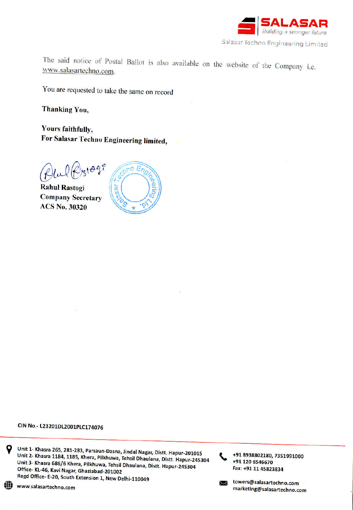

The said notice of Postal Ballot is also available on the website of the Company i.e. www.salasartechno.com.

You are requested to take the same on record

**Thanking You.** 

Yours faithfully, For Salasar Techno Engineering limited,

Plulk  $x + 99^\circ$ 

**Rahul Rastogi Company Secretary ACS No. 30320** 



## CIN No.- L23201DL2001PLC174076

Unit 1- Khasra 265, 281-283, Parsaun-Dasna, Jindal Nagar, Distt. Hapur-201015 Unit 2- Khasra 1184, 1185, Khera, Pilkhuwa, Tehsil Dhaulana, Distt. Hapur-245304 Unit 3- Khasra 686/6 Khera, Pilkhuwa, Tehsil Dhaulana, Distt. Hapur-245304 Office- KL-46, Kavi Nagar, Ghaziabad-201002 Regd Office- E-20, South Extension 1, New Delhi-110049

www.salasartechno.com

Q

拼换

+91 120 6546670 Fax: +91 11 45823834  $\overline{\phantom{1}}$ 

+91 8938802180, 7351991000

towers@salasartechno.com marketing@salasartechno.com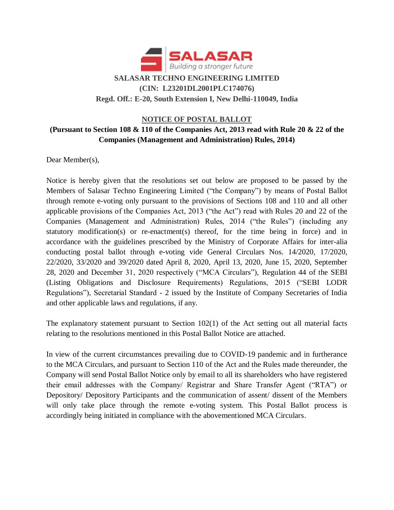

# **SALASAR TECHNO ENGINEERING LIMITED (CIN: L23201DL2001PLC174076) Regd. Off.: E-20, South Extension I, New Delhi-110049, India**

## **NOTICE OF POSTAL BALLOT (Pursuant to Section 108 & 110 of the Companies Act, 2013 read with Rule 20 & 22 of the Companies (Management and Administration) Rules, 2014)**

Dear Member(s),

Notice is hereby given that the resolutions set out below are proposed to be passed by the Members of Salasar Techno Engineering Limited ("the Company") by means of Postal Ballot through remote e-voting only pursuant to the provisions of Sections 108 and 110 and all other applicable provisions of the Companies Act, 2013 ("the Act") read with Rules 20 and 22 of the Companies (Management and Administration) Rules, 2014 ("the Rules") (including any statutory modification(s) or re-enactment(s) thereof, for the time being in force) and in accordance with the guidelines prescribed by the Ministry of Corporate Affairs for inter-alia conducting postal ballot through e-voting vide General Circulars Nos. 14/2020, 17/2020, 22/2020, 33/2020 and 39/2020 dated April 8, 2020, April 13, 2020, June 15, 2020, September 28, 2020 and December 31, 2020 respectively ("MCA Circulars"), Regulation 44 of the SEBI (Listing Obligations and Disclosure Requirements) Regulations, 2015 ("SEBI LODR Regulations"), Secretarial Standard - 2 issued by the Institute of Company Secretaries of India and other applicable laws and regulations, if any.

The explanatory statement pursuant to Section 102(1) of the Act setting out all material facts relating to the resolutions mentioned in this Postal Ballot Notice are attached.

In view of the current circumstances prevailing due to COVID-19 pandemic and in furtherance to the MCA Circulars, and pursuant to Section 110 of the Act and the Rules made thereunder, the Company will send Postal Ballot Notice only by email to all its shareholders who have registered their email addresses with the Company/ Registrar and Share Transfer Agent ("RTA") or Depository/ Depository Participants and the communication of assent/ dissent of the Members will only take place through the remote e-voting system. This Postal Ballot process is accordingly being initiated in compliance with the abovementioned MCA Circulars.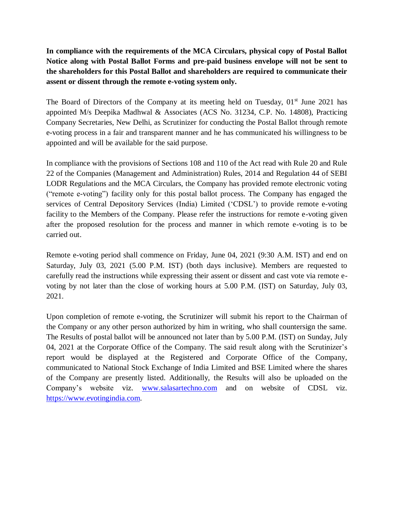**In compliance with the requirements of the MCA Circulars, physical copy of Postal Ballot Notice along with Postal Ballot Forms and pre-paid business envelope will not be sent to the shareholders for this Postal Ballot and shareholders are required to communicate their assent or dissent through the remote e-voting system only.**

The Board of Directors of the Company at its meeting held on Tuesday,  $01<sup>st</sup>$  June 2021 has appointed M/s Deepika Madhwal & Associates (ACS No. 31234, C.P. No. 14808), Practicing Company Secretaries, New Delhi, as Scrutinizer for conducting the Postal Ballot through remote e-voting process in a fair and transparent manner and he has communicated his willingness to be appointed and will be available for the said purpose.

In compliance with the provisions of Sections 108 and 110 of the Act read with Rule 20 and Rule 22 of the Companies (Management and Administration) Rules, 2014 and Regulation 44 of SEBI LODR Regulations and the MCA Circulars, the Company has provided remote electronic voting ("remote e-voting") facility only for this postal ballot process. The Company has engaged the services of Central Depository Services (India) Limited ('CDSL') to provide remote e-voting facility to the Members of the Company. Please refer the instructions for remote e-voting given after the proposed resolution for the process and manner in which remote e-voting is to be carried out.

Remote e-voting period shall commence on Friday, June 04, 2021 (9:30 A.M. IST) and end on Saturday, July 03, 2021 (5.00 P.M. IST) (both days inclusive). Members are requested to carefully read the instructions while expressing their assent or dissent and cast vote via remote evoting by not later than the close of working hours at 5.00 P.M. (IST) on Saturday, July 03, 2021.

Upon completion of remote e-voting, the Scrutinizer will submit his report to the Chairman of the Company or any other person authorized by him in writing, who shall countersign the same. The Results of postal ballot will be announced not later than by 5.00 P.M. (IST) on Sunday, July 04, 2021 at the Corporate Office of the Company. The said result along with the Scrutinizer's report would be displayed at the Registered and Corporate Office of the Company, communicated to National Stock Exchange of India Limited and BSE Limited where the shares of the Company are presently listed. Additionally, the Results will also be uploaded on the Company's website viz. [www.salasartechno.com](http://www.salasartechno.com/) and on website of CDSL viz. [https://www.evotingindia.com.](https://www.evotingindia.com/)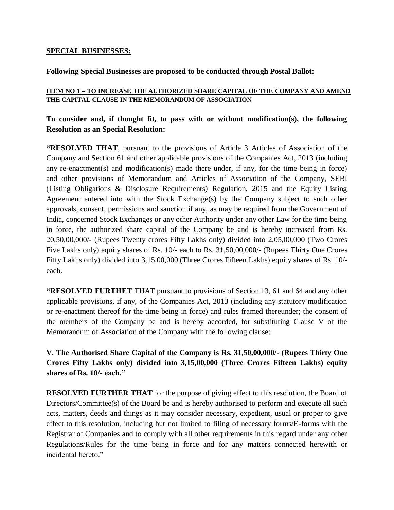### **SPECIAL BUSINESSES:**

## **Following Special Businesses are proposed to be conducted through Postal Ballot:**

## **ITEM NO 1 – TO INCREASE THE AUTHORIZED SHARE CAPITAL OF THE COMPANY AND AMEND THE CAPITAL CLAUSE IN THE MEMORANDUM OF ASSOCIATION**

## **To consider and, if thought fit, to pass with or without modification(s), the following Resolution as an Special Resolution:**

**"RESOLVED THAT**, pursuant to the provisions of Article 3 Articles of Association of the Company and Section 61 and other applicable provisions of the Companies Act, 2013 (including any re-enactment(s) and modification(s) made there under, if any, for the time being in force) and other provisions of Memorandum and Articles of Association of the Company, SEBI (Listing Obligations & Disclosure Requirements) Regulation, 2015 and the Equity Listing Agreement entered into with the Stock Exchange(s) by the Company subject to such other approvals, consent, permissions and sanction if any, as may be required from the Government of India, concerned Stock Exchanges or any other Authority under any other Law for the time being in force, the authorized share capital of the Company be and is hereby increased from Rs. 20,50,00,000/- (Rupees Twenty crores Fifty Lakhs only) divided into 2,05,00,000 (Two Crores Five Lakhs only) equity shares of Rs. 10/- each to Rs. 31,50,00,000/- (Rupees Thirty One Crores Fifty Lakhs only) divided into 3,15,00,000 (Three Crores Fifteen Lakhs) equity shares of Rs. 10/ each.

**"RESOLVED FURTHET** THAT pursuant to provisions of Section 13, 61 and 64 and any other applicable provisions, if any, of the Companies Act, 2013 (including any statutory modification or re-enactment thereof for the time being in force) and rules framed thereunder; the consent of the members of the Company be and is hereby accorded, for substituting Clause V of the Memorandum of Association of the Company with the following clause:

**V. The Authorised Share Capital of the Company is Rs. 31,50,00,000/- (Rupees Thirty One Crores Fifty Lakhs only) divided into 3,15,00,000 (Three Crores Fifteen Lakhs) equity shares of Rs. 10/- each."**

**RESOLVED FURTHER THAT** for the purpose of giving effect to this resolution, the Board of Directors/Committee(s) of the Board be and is hereby authorised to perform and execute all such acts, matters, deeds and things as it may consider necessary, expedient, usual or proper to give effect to this resolution, including but not limited to filing of necessary forms/E-forms with the Registrar of Companies and to comply with all other requirements in this regard under any other Regulations/Rules for the time being in force and for any matters connected herewith or incidental hereto."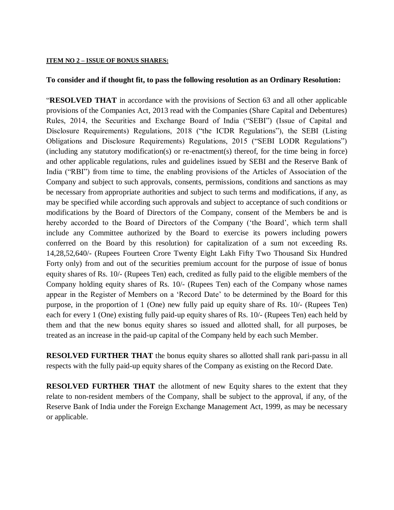#### **ITEM NO 2 – ISSUE OF BONUS SHARES:**

#### **To consider and if thought fit, to pass the following resolution as an Ordinary Resolution:**

"**RESOLVED THAT** in accordance with the provisions of Section 63 and all other applicable provisions of the Companies Act, 2013 read with the Companies (Share Capital and Debentures) Rules, 2014, the Securities and Exchange Board of India ("SEBI") (Issue of Capital and Disclosure Requirements) Regulations, 2018 ("the ICDR Regulations"), the SEBI (Listing Obligations and Disclosure Requirements) Regulations, 2015 ("SEBI LODR Regulations") (including any statutory modification(s) or re-enactment(s) thereof, for the time being in force) and other applicable regulations, rules and guidelines issued by SEBI and the Reserve Bank of India ("RBI") from time to time, the enabling provisions of the Articles of Association of the Company and subject to such approvals, consents, permissions, conditions and sanctions as may be necessary from appropriate authorities and subject to such terms and modifications, if any, as may be specified while according such approvals and subject to acceptance of such conditions or modifications by the Board of Directors of the Company, consent of the Members be and is hereby accorded to the Board of Directors of the Company ('the Board', which term shall include any Committee authorized by the Board to exercise its powers including powers conferred on the Board by this resolution) for capitalization of a sum not exceeding Rs. 14,28,52,640/- (Rupees Fourteen Crore Twenty Eight Lakh Fifty Two Thousand Six Hundred Forty only) from and out of the securities premium account for the purpose of issue of bonus equity shares of Rs. 10/- (Rupees Ten) each, credited as fully paid to the eligible members of the Company holding equity shares of Rs. 10/- (Rupees Ten) each of the Company whose names appear in the Register of Members on a 'Record Date' to be determined by the Board for this purpose, in the proportion of 1 (One) new fully paid up equity share of Rs. 10/- (Rupees Ten) each for every 1 (One) existing fully paid-up equity shares of Rs. 10/- (Rupees Ten) each held by them and that the new bonus equity shares so issued and allotted shall, for all purposes, be treated as an increase in the paid-up capital of the Company held by each such Member.

**RESOLVED FURTHER THAT** the bonus equity shares so allotted shall rank pari-passu in all respects with the fully paid-up equity shares of the Company as existing on the Record Date.

**RESOLVED FURTHER THAT** the allotment of new Equity shares to the extent that they relate to non-resident members of the Company, shall be subject to the approval, if any, of the Reserve Bank of India under the Foreign Exchange Management Act, 1999, as may be necessary or applicable.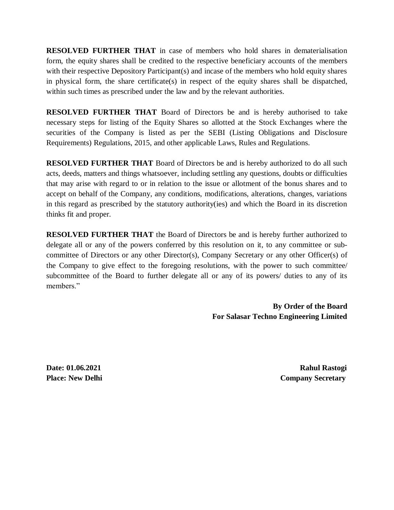**RESOLVED FURTHER THAT** in case of members who hold shares in dematerialisation form, the equity shares shall be credited to the respective beneficiary accounts of the members with their respective Depository Participant(s) and incase of the members who hold equity shares in physical form, the share certificate(s) in respect of the equity shares shall be dispatched, within such times as prescribed under the law and by the relevant authorities.

**RESOLVED FURTHER THAT** Board of Directors be and is hereby authorised to take necessary steps for listing of the Equity Shares so allotted at the Stock Exchanges where the securities of the Company is listed as per the SEBI (Listing Obligations and Disclosure Requirements) Regulations, 2015, and other applicable Laws, Rules and Regulations.

**RESOLVED FURTHER THAT** Board of Directors be and is hereby authorized to do all such acts, deeds, matters and things whatsoever, including settling any questions, doubts or difficulties that may arise with regard to or in relation to the issue or allotment of the bonus shares and to accept on behalf of the Company, any conditions, modifications, alterations, changes, variations in this regard as prescribed by the statutory authority(ies) and which the Board in its discretion thinks fit and proper.

**RESOLVED FURTHER THAT** the Board of Directors be and is hereby further authorized to delegate all or any of the powers conferred by this resolution on it, to any committee or subcommittee of Directors or any other Director(s), Company Secretary or any other Officer(s) of the Company to give effect to the foregoing resolutions, with the power to such committee/ subcommittee of the Board to further delegate all or any of its powers/ duties to any of its members."

> **By Order of the Board For Salasar Techno Engineering Limited**

**Date: 01.06.2021 Rahul Rastogi Place: New Delhi** Company Secretary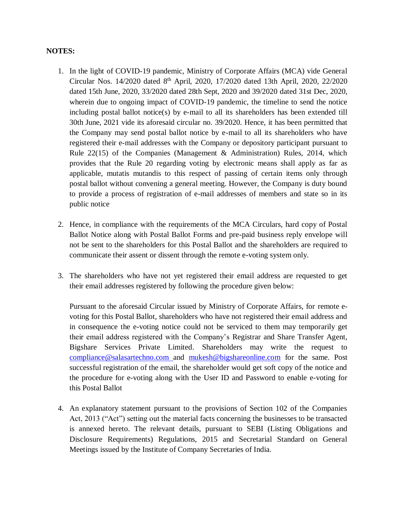### **NOTES:**

- 1. In the light of COVID-19 pandemic, Ministry of Corporate Affairs (MCA) vide General Circular Nos. 14/2020 dated 8<sup>th</sup> April, 2020, 17/2020 dated 13th April, 2020, 22/2020 dated 15th June, 2020, 33/2020 dated 28th Sept, 2020 and 39/2020 dated 31st Dec, 2020, wherein due to ongoing impact of COVID-19 pandemic, the timeline to send the notice including postal ballot notice(s) by e-mail to all its shareholders has been extended till 30th June, 2021 vide its aforesaid circular no. 39/2020. Hence, it has been permitted that the Company may send postal ballot notice by e-mail to all its shareholders who have registered their e-mail addresses with the Company or depository participant pursuant to Rule 22(15) of the Companies (Management & Administration) Rules, 2014, which provides that the Rule 20 regarding voting by electronic means shall apply as far as applicable, mutatis mutandis to this respect of passing of certain items only through postal ballot without convening a general meeting. However, the Company is duty bound to provide a process of registration of e-mail addresses of members and state so in its public notice
- 2. Hence, in compliance with the requirements of the MCA Circulars, hard copy of Postal Ballot Notice along with Postal Ballot Forms and pre-paid business reply envelope will not be sent to the shareholders for this Postal Ballot and the shareholders are required to communicate their assent or dissent through the remote e-voting system only.
- 3. The shareholders who have not yet registered their email address are requested to get their email addresses registered by following the procedure given below:

Pursuant to the aforesaid Circular issued by Ministry of Corporate Affairs, for remote evoting for this Postal Ballot, shareholders who have not registered their email address and in consequence the e-voting notice could not be serviced to them may temporarily get their email address registered with the Company's Registrar and Share Transfer Agent, Bigshare Services Private Limited. Shareholders may write the request to [compliance@salasartechno.com](mailto:compliance@salasartechno.com) and [mukesh@bigshareonline.com](mailto:mukesh@bigshareonline.com) for the same. Post successful registration of the email, the shareholder would get soft copy of the notice and the procedure for e-voting along with the User ID and Password to enable e-voting for this Postal Ballot

4. An explanatory statement pursuant to the provisions of Section 102 of the Companies Act, 2013 ("Act") setting out the material facts concerning the businesses to be transacted is annexed hereto. The relevant details, pursuant to SEBI (Listing Obligations and Disclosure Requirements) Regulations, 2015 and Secretarial Standard on General Meetings issued by the Institute of Company Secretaries of India.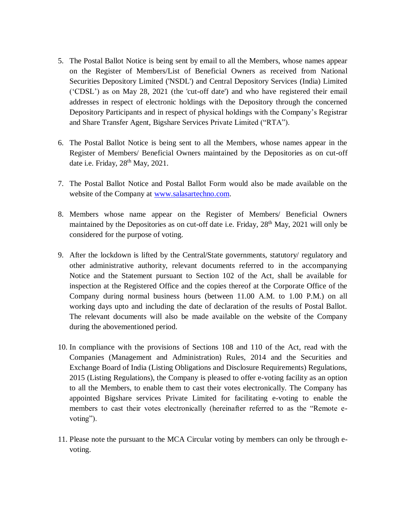- 5. The Postal Ballot Notice is being sent by email to all the Members, whose names appear on the Register of Members/List of Beneficial Owners as received from National Securities Depository Limited ('NSDL') and Central Depository Services (India) Limited ('CDSL') as on May 28, 2021 (the 'cut-off date') and who have registered their email addresses in respect of electronic holdings with the Depository through the concerned Depository Participants and in respect of physical holdings with the Company's Registrar and Share Transfer Agent, Bigshare Services Private Limited ("RTA").
- 6. The Postal Ballot Notice is being sent to all the Members, whose names appear in the Register of Members/ Beneficial Owners maintained by the Depositories as on cut-off date i.e. Friday, 28<sup>th</sup> May, 2021.
- 7. The Postal Ballot Notice and Postal Ballot Form would also be made available on the website of the Company at [www.salasartechno.com.](http://www.salasartechno.com/)
- 8. Members whose name appear on the Register of Members/ Beneficial Owners maintained by the Depositories as on cut-off date i.e. Friday,  $28<sup>th</sup>$  May,  $2021$  will only be considered for the purpose of voting.
- 9. After the lockdown is lifted by the Central/State governments, statutory/ regulatory and other administrative authority, relevant documents referred to in the accompanying Notice and the Statement pursuant to Section 102 of the Act, shall be available for inspection at the Registered Office and the copies thereof at the Corporate Office of the Company during normal business hours (between 11.00 A.M. to 1.00 P.M.) on all working days upto and including the date of declaration of the results of Postal Ballot. The relevant documents will also be made available on the website of the Company during the abovementioned period.
- 10. In compliance with the provisions of Sections 108 and 110 of the Act, read with the Companies (Management and Administration) Rules, 2014 and the Securities and Exchange Board of India (Listing Obligations and Disclosure Requirements) Regulations, 2015 (Listing Regulations), the Company is pleased to offer e-voting facility as an option to all the Members, to enable them to cast their votes electronically. The Company has appointed Bigshare services Private Limited for facilitating e-voting to enable the members to cast their votes electronically (hereinafter referred to as the "Remote evoting").
- 11. Please note the pursuant to the MCA Circular voting by members can only be through evoting.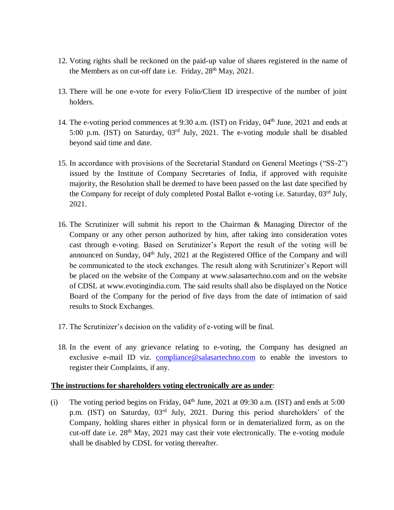- 12. Voting rights shall be reckoned on the paid-up value of shares registered in the name of the Members as on cut-off date i.e. Friday,  $28<sup>th</sup>$  May,  $2021$ .
- 13. There will be one e-vote for every Folio/Client ID irrespective of the number of joint holders.
- 14. The e-voting period commences at 9:30 a.m. (IST) on Friday, 04<sup>th</sup> June, 2021 and ends at 5:00 p.m. (IST) on Saturday,  $03<sup>rd</sup>$  July, 2021. The e-voting module shall be disabled beyond said time and date.
- 15. In accordance with provisions of the Secretarial Standard on General Meetings ("SS-2") issued by the Institute of Company Secretaries of India, if approved with requisite majority, the Resolution shall be deemed to have been passed on the last date specified by the Company for receipt of duly completed Postal Ballot e-voting i.e. Saturday, 03<sup>rd</sup> July, 2021.
- 16. The Scrutinizer will submit his report to the Chairman & Managing Director of the Company or any other person authorized by him, after taking into consideration votes cast through e-voting. Based on Scrutinizer's Report the result of the voting will be announced on Sunday, 04<sup>th</sup> July, 2021 at the Registered Office of the Company and will be communicated to the stock exchanges. The result along with Scrutinizer's Report will be placed on the website of the Company at www.salasartechno.com and on the website of CDSL at www.evotingindia.com. The said results shall also be displayed on the Notice Board of the Company for the period of five days from the date of intimation of said results to Stock Exchanges.
- 17. The Scrutinizer's decision on the validity of e-voting will be final.
- 18. In the event of any grievance relating to e-voting, the Company has designed an exclusive e-mail ID viz. [compliance@salasartechno.com](mailto:compliance@salasartechno.com) to enable the investors to register their Complaints, if any.

### **The instructions for shareholders voting electronically are as under**:

(i) The voting period begins on Friday,  $04<sup>th</sup>$  June, 2021 at 09:30 a.m. (IST) and ends at 5:00 p.m. (IST) on Saturday, 03rd July, 2021. During this period shareholders' of the Company, holding shares either in physical form or in dematerialized form, as on the cut-off date i.e.  $28<sup>th</sup>$  May,  $2021$  may cast their vote electronically. The e-voting module shall be disabled by CDSL for voting thereafter.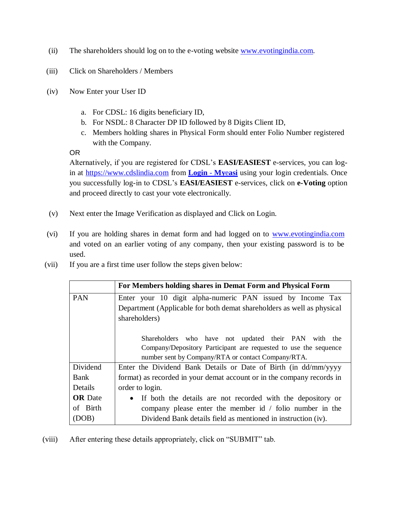- (ii) The shareholders should log on to the e-voting website [www.evotingindia.com.](http://www.evotingindia.com/)
- (iii) Click on Shareholders / Members
- (iv) Now Enter your User ID
	- a. For CDSL: 16 digits beneficiary ID,
	- b. For NSDL: 8 Character DP ID followed by 8 Digits Client ID,
	- c. Members holding shares in Physical Form should enter Folio Number registered with the Company.

OR

Alternatively, if you are registered for CDSL's **EASI/EASIEST** e-services, you can login at [https://www.cdslindia.com](https://www.cdslindia.com/) from **[Login](file:///C:/Users/nitink/Desktop/Login - Myeasi)** - **My**e**asi** using your login credentials. Once you successfully log-in to CDSL's **EASI/EASIEST** e-services, click on **e-Voting** option and proceed directly to cast your vote electronically.

- (v) Next enter the Image Verification as displayed and Click on Login.
- (vi) If you are holding shares in demat form and had logged on to [www.evotingindia.com](http://www.evotingindia.com/) and voted on an earlier voting of any company, then your existing password is to be used.
- (vii) If you are a first time user follow the steps given below:

|                | For Members holding shares in Demat Form and Physical Form               |
|----------------|--------------------------------------------------------------------------|
| <b>PAN</b>     | Enter your 10 digit alpha-numeric PAN issued by Income Tax               |
|                | Department (Applicable for both demat shareholders as well as physical   |
|                | shareholders)                                                            |
|                |                                                                          |
|                | Shareholders who have not updated their PAN with the                     |
|                | Company/Depository Participant are requested to use the sequence         |
|                | number sent by Company/RTA or contact Company/RTA.                       |
| Dividend       | Enter the Dividend Bank Details or Date of Birth (in dd/mm/yyyy          |
| Bank           | format) as recorded in your demat account or in the company records in   |
| Details        | order to login.                                                          |
| <b>OR</b> Date | If both the details are not recorded with the depository or<br>$\bullet$ |
| of Birth       | company please enter the member id $/$ folio number in the               |
| (DOB)          | Dividend Bank details field as mentioned in instruction (iv).            |

(viii) After entering these details appropriately, click on "SUBMIT" tab.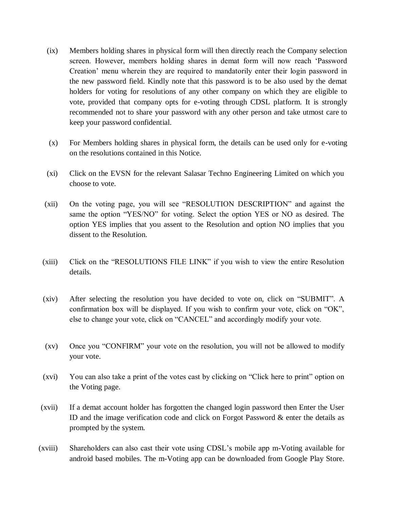- (ix) Members holding shares in physical form will then directly reach the Company selection screen. However, members holding shares in demat form will now reach 'Password Creation' menu wherein they are required to mandatorily enter their login password in the new password field. Kindly note that this password is to be also used by the demat holders for voting for resolutions of any other company on which they are eligible to vote, provided that company opts for e-voting through CDSL platform. It is strongly recommended not to share your password with any other person and take utmost care to keep your password confidential.
- (x) For Members holding shares in physical form, the details can be used only for e-voting on the resolutions contained in this Notice.
- (xi) Click on the EVSN for the relevant Salasar Techno Engineering Limited on which you choose to vote.
- (xii) On the voting page, you will see "RESOLUTION DESCRIPTION" and against the same the option "YES/NO" for voting. Select the option YES or NO as desired. The option YES implies that you assent to the Resolution and option NO implies that you dissent to the Resolution.
- (xiii) Click on the "RESOLUTIONS FILE LINK" if you wish to view the entire Resolution details.
- (xiv) After selecting the resolution you have decided to vote on, click on "SUBMIT". A confirmation box will be displayed. If you wish to confirm your vote, click on "OK", else to change your vote, click on "CANCEL" and accordingly modify your vote.
- (xv) Once you "CONFIRM" your vote on the resolution, you will not be allowed to modify your vote.
- (xvi) You can also take a print of the votes cast by clicking on "Click here to print" option on the Voting page.
- (xvii) If a demat account holder has forgotten the changed login password then Enter the User ID and the image verification code and click on Forgot Password & enter the details as prompted by the system.
- (xviii) Shareholders can also cast their vote using CDSL's mobile app m-Voting available for android based mobiles. The m-Voting app can be downloaded from Google Play Store.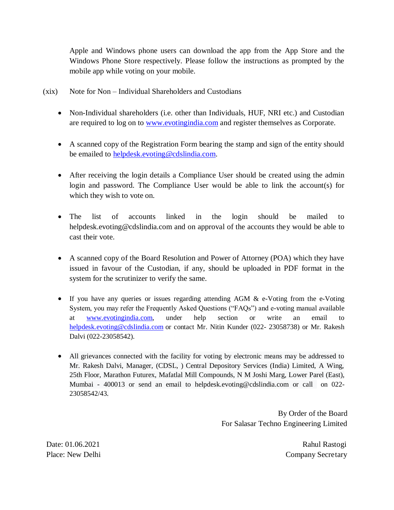Apple and Windows phone users can download the app from the App Store and the Windows Phone Store respectively. Please follow the instructions as prompted by the mobile app while voting on your mobile.

- (xix) Note for Non Individual Shareholders and Custodians
	- Non-Individual shareholders (i.e. other than Individuals, HUF, NRI etc.) and Custodian are required to log on to [www.evotingindia.com](http://www.evotingindia.com/) and register themselves as Corporate.
	- A scanned copy of the Registration Form bearing the stamp and sign of the entity should be emailed to [helpdesk.evoting@cdslindia.com.](mailto:helpdesk.evoting@cdslindia.com)
	- After receiving the login details a Compliance User should be created using the admin login and password. The Compliance User would be able to link the account(s) for which they wish to vote on.
	- The list of accounts linked in the login should be mailed to helpdesk.evoting@cdslindia.com and on approval of the accounts they would be able to cast their vote.
	- A scanned copy of the Board Resolution and Power of Attorney (POA) which they have issued in favour of the Custodian, if any, should be uploaded in PDF format in the system for the scrutinizer to verify the same.
	- If you have any queries or issues regarding attending AGM & e-Voting from the e-Voting System, you may refer the Frequently Asked Questions ("FAQs") and e-voting manual available at [www.evotingindia.com,](http://www.evotingindia.com/) under help section or write an email to [helpdesk.evoting@cdslindia.com](mailto:helpdesk.evoting@cdslindia.com) or contact Mr. Nitin Kunder (022- 23058738) or Mr. Rakesh Dalvi (022-23058542).
	- All grievances connected with the facility for voting by electronic means may be addressed to Mr. Rakesh Dalvi, Manager, (CDSL, ) Central Depository Services (India) Limited, A Wing, 25th Floor, Marathon Futurex, Mafatlal Mill Compounds, N M Joshi Marg, Lower Parel (East), Mumbai - 400013 or send an email to [helpdesk.evoting@cdslindia.com](mailto:helpdesk.evoting@cdslindia.com) or call on 022- 23058542/43.

By Order of the Board For Salasar Techno Engineering Limited

Date: 01.06.2021 Rahul Rastogi Place: New Delhi Company Secretary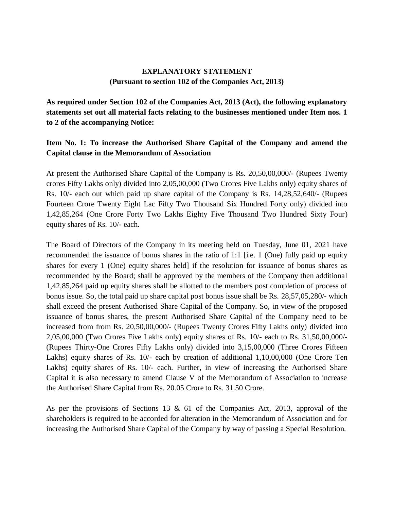## **EXPLANATORY STATEMENT (Pursuant to section 102 of the Companies Act, 2013)**

**As required under Section 102 of the Companies Act, 2013 (Act), the following explanatory statements set out all material facts relating to the businesses mentioned under Item nos. 1 to 2 of the accompanying Notice:**

## **Item No. 1: To increase the Authorised Share Capital of the Company and amend the Capital clause in the Memorandum of Association**

At present the Authorised Share Capital of the Company is Rs. 20,50,00,000/- (Rupees Twenty crores Fifty Lakhs only) divided into 2,05,00,000 (Two Crores Five Lakhs only) equity shares of Rs. 10/- each out which paid up share capital of the Company is Rs. 14,28,52,640/- (Rupees Fourteen Crore Twenty Eight Lac Fifty Two Thousand Six Hundred Forty only) divided into 1,42,85,264 (One Crore Forty Two Lakhs Eighty Five Thousand Two Hundred Sixty Four) equity shares of Rs. 10/- each.

The Board of Directors of the Company in its meeting held on Tuesday, June 01, 2021 have recommended the issuance of bonus shares in the ratio of 1:1 [i.e. 1 (One) fully paid up equity shares for every 1 (One) equity shares held] if the resolution for issuance of bonus shares as recommended by the Board; shall be approved by the members of the Company then additional 1,42,85,264 paid up equity shares shall be allotted to the members post completion of process of bonus issue. So, the total paid up share capital post bonus issue shall be Rs. 28,57,05,280/- which shall exceed the present Authorised Share Capital of the Company. So, in view of the proposed issuance of bonus shares, the present Authorised Share Capital of the Company need to be increased from from Rs. 20,50,00,000/- (Rupees Twenty Crores Fifty Lakhs only) divided into 2,05,00,000 (Two Crores Five Lakhs only) equity shares of Rs. 10/- each to Rs. 31,50,00,000/- (Rupees Thirty-One Crores Fifty Lakhs only) divided into 3,15,00,000 (Three Crores Fifteen Lakhs) equity shares of Rs. 10/- each by creation of additional 1,10,00,000 (One Crore Ten Lakhs) equity shares of Rs. 10/- each. Further, in view of increasing the Authorised Share Capital it is also necessary to amend Clause V of the Memorandum of Association to increase the Authorised Share Capital from Rs. 20.05 Crore to Rs. 31.50 Crore.

As per the provisions of Sections 13 & 61 of the Companies Act, 2013, approval of the shareholders is required to be accorded for alteration in the Memorandum of Association and for increasing the Authorised Share Capital of the Company by way of passing a Special Resolution.